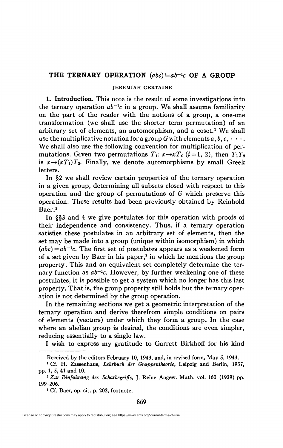# **THE TERNARY OPERATION** *(abc)±ab-<sup>l</sup> c* **OF A GROUP**

#### **JEREMIAH CERTAINE**

**1. Introduction.** This note is the result of some investigations into the ternary operation  $ab^{-1}c$  in a group. We shall assume familiarity on the part of the reader with the notions of a group, a one-one transformation (we shall use the shorter term permutation) of an arbitrary set of elements, an automorphism, and a coset.<sup>1</sup> We shall use the multiplicative notation for a group G with elements  $a, b, c, \cdots$ . We shall also use the following convention for multiplication of permutations. Given two permutations  $T_i: x \rightarrow xT_i$  ( $i = 1, 2$ ), then  $T_1 T_2$ is  $x \rightarrow (xT_1)T_2$ . Finally, we denote automorphisms by small Greek letters.

In §2 we shall review certain properties of the ternary operation in a given group, determining all subsets closed with respect to this operation and the group of permutations of *G* which preserve this operation. These results had been previously obtained by Reinhold Baer.<sup>2</sup>

In §§3 and 4 we give postulates for this operation with proofs of their independence and consistency. Thus, if a ternary operation satisfies these postulates in an arbitrary set of elements, then the set may be made into a group (unique within isomorphism) in which  $(abc) = ab^{-1}c$ . The first set of postulates appears as a weakened form of a set given by Baer in his paper,<sup>8</sup> in which he mentions the group property. This and an equivalent set completely determine the ternary function as  $ab^{-1}c$ . However, by further weakening one of these postulates, it is possible to get a system which no longer has this last property. That is, the group property still holds but the ternary operation is not determined by the group operation.

In the remaining sections we get a geometric interpretation of the ternary operation and derive therefrom simple conditions on pairs of elements (vectors) under which they form a group. In the case where an abelian group is desired, the conditions are even simpler, reducing essentially to a single law.

I wish to express my gratitude to Garrett Birkhoff for his kind

**Received by the editors February 10, 1943, and, in revised form, May 5, 1943.** 

**<sup>1</sup> Cf. H. Zassenhaus,** *Lehrbuch der Gruppentheorie,* **Leipzig and Berlin, 1937, pp. 1, 5, 41 and 10.** 

**<sup>2</sup>**  *Zur Einfilhrung des Scharbegriffs,* **J. Reine Angew. Math. vol. 160 (1929) pp. 199-206.** 

**<sup>3</sup> Cf. Baer, op. cit. p. 202, footnote.**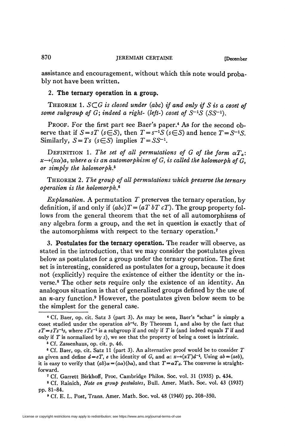assistance and encouragement, without which this note would probably not have been written.

### 2. **The ternary operation in a group.**

THEOREM 1. *SC.G is closed under (abc) if and only if S is a coset of some subgroup of G; indeed a right- (left-) coset of*  $S^{-1}S$  *(SS-<sup>1</sup>).* 

PROOF. For the first part see Baer's paper.<sup>4</sup> As for the second observe that if  $S = sT$  ( $s \in S$ ), then  $T = s^{-1}S$  ( $s \in S$ ) and hence  $T = S^{-1}S$ . Similarly,  $S = Ts$  ( $s \in S$ ) implies  $T = SS^{-1}$ .

DEFINITION 1. The set of all permutations of G of the form  $\alpha T_a$ :  $x{\rightarrow}$ (x $\alpha$ )a, where  $\alpha$  is an automorphism of G, is called the holomorph of G, *or simply the holomorph.<sup>5</sup>*

THEOREM *2. The group of all permutations which preserve the ternary operation is the holomorph\** 

*Explanation.* A permutation  $T$  preserves the ternary operation, by definition, if and only if  $(abc)T = (aT bT cT)$ . The group property follows from the general theorem that the set of all automorphisms of any algebra form a group, and the set in question is exactly that of the automorphisms with respect to the ternary operation.<sup>7</sup>

3. **Postulates for the ternary operation.** The reader will observe, as stated in the introduction, that we may consider the postulates given below as postulates for a group under the ternary operation. The first set is interesting, considered as postulates for a group, because it does not (explicitly) require the existence of either the identity or the inverse.<sup>8</sup> The other sets require only the existence of an identity. An analogous situation is that of generalized groups defined by the use of an  $n$ -ary function.<sup>9</sup> However, the postulates given below seem to be the simplest for the general case.

5 Cf. Zassenhaus, op. cit. p. 46.

6 Cf. Baer, op. cit. Satz 11 (part 3). An alternative proof would be to consider *T*  as given and define  $d = eT$ , e the identity of G, and  $\alpha: x \rightarrow (xT)d^{-1}$ , Using  $ab = (aeb)$ , it is easy to verify that  $(ab)\alpha = (a\alpha)(ba)$ , and that  $T = \alpha T_d$ . The converse is straightforward.

7 Cf. Garrett Birkhoff, Proc. Cambridge Philos. Soc. vol. 31 (1935) p. 434.

8 Cf. Rainich, *Note on group postulates,* Bull. Amer. Math. Soc. vol. 43 (1937) pp. 81-84.

*9* Cf. E. L. Post, Trans. Amer. Math. Soc. vol. 48 (1940) pp. 208-350.

<sup>4</sup> Cf. Baer, op. cit. Satz 3 (part 3). As may be seen, Baer's "schar" is simply a coset studied under the operation  $ab^{-1}c$ . By Theorem 1, and also by the fact that  $sT = sTs^{-1}s$ , where  $sTs^{-1}$  is a subgroup if and only if *T* is (and indeed equals *T* if and only if *T* is normalized by *s),* we see that the property of being a coset is intrinsic.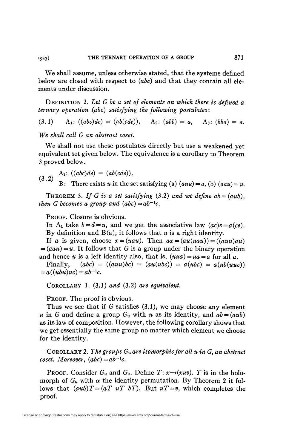We shall assume, unless otherwise stated, that the systems defined below are closed with respect to *(abc)* and that they contain all elements under discussion.

DEFINITION 2. *Let G be a set of elements on which there is defined a ternary operation (abc) satisfying the following postulates* :

(3.1)  $A_1: ((abc)de) = (ab(cde)), \quad A_2: (abb) = a, \quad A_3: (bba) = a.$ 

*We shall call G an abstract coset.* 

We shall not use these postulates directly but use a weakened yet equivalent set given below. The equivalence is a corollary to Theorem 3 proved below.

$$
(3.2) \quad A_1: ((abc)de) = (ab(cde)).
$$

B: There exists *u* in the set satisfying (a)  $(auu) = a$ , (b)  $(auu) = u$ .

THEOREM 3. If G is a set satisfying  $(3.2)$  and we define  $ab = (aub)$ , *then G* becomes a group and  $(abc) = ab^{-1}c$ .

PROOF. Closure is obvious.

In A<sub>1</sub> take  $b = d = u$ , and we get the associative law  $(ac)e = a(ce)$ . By definition and B(a), it follows that *u* is a right identity.

If *a* is given, choose  $x = (uau)$ . Then  $ax = (au(uau)) = ((auu)au)$  $=(aau) = u$ . It follows that G is a group under the binary operation and hence *u* is a left identity also, that is,  $(uua) = ua = a$  for all *a*.

Finally,  $(abc) = ((auu)bc) = (au(ubc)) = a(ubc) = a(ub(uuc))$  $= a((ubu)uc) = ab^{-1}c.$ 

COROLLARY 1. (3.1) *and* (3.2) *are equivalent.* 

PROOF. The proof is obvious.

Thus we see that if *G* satisfies (3.1), we may choose any element *u* in *G* and define a group  $G_u$  with *u* as its identity, and  $ab = (aub)$ as its law of composition. However, the following corollary shows that we get essentially the same group no matter which element we choose for the identity.

COROLLARY 2. *The groups Gu are isomorphic for all u in* G, *an abstract coset. Moreover,*  $(abc) = ab^{-1}c$ .

**PROOF.** Consider  $G_u$  and  $G_v$ . Define  $T: x \rightarrow (xuv)$ . T is in the holomorph of  $G_u$  with  $\alpha$  the identity permutation. By Theorem 2 it follows that  $(aub)T=(aT uT bT)$ . But  $uT=v$ , which completes the proof.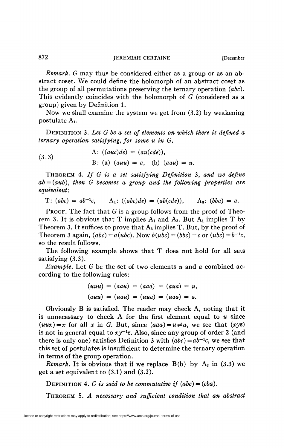*Remark. G* may thus be considered either as a group or as an abstract coset. We could define the holomorph of an abstract coset as the group of all permutations preserving the ternary operation *(abc).*  This evidently coincides with the holomorph of *G* (considered as a group) given by Definition 1.

Now we shall examine the system we get from (3.2) by weakening postulate Ai.

DEFINITION 3. *Let G be a set of elements on which there is defined a ternary operation satisfying, for some u in G}* 

(3.3)   
A: 
$$
((auc)de) = (au(cde)),
$$
  
B: (a)  $(auu) = a$ , (b)  $(aau) = u$ .

THEOREM 4. *If G is a set satisfying Definition* 3, *and we define ab = (aub), then G becomes a group and the following properties are equivalent :* 

T: 
$$
(abc) = ab^{-1}c
$$
, A<sub>1</sub>:  $((abc)de) = (ab(cde))$ , A<sub>3</sub>:  $(bba) = a$ .

**PROOF.** The fact that  $G$  is a group follows from the proof of Theorem 3. It is obvious that T implies  $A_1$  and  $A_3$ . But  $A_1$  implies T by Theorem 3. It suffices to prove that  $A_3$  implies T. But, by the proof of Theorem 3 again,  $(abc) = a(ubc)$ . Now  $b(ubc) = (bbc) = c$  or  $(ubc) = b^{-1}c$ , so the result follows.

The following example shows that T does not hold for all sets satisfying  $(3.3)$ .

*Example.* Let *G* be the set of two elements *u* and *a* combined according to the following rules:

$$
(uuu) = (aau) = (aaa) = (aua) = u,
$$
  
 $(auu) = (uau) = (uua) = (uaa) = a.$ 

Obviously B is satisfied. The reader may check A, noting that it is unnecessary to check A for the first element equal to *u* since  $(uux) = x$  for all x in G. But, since  $(aaa) = u \neq a$ , we see that  $(xyz)$ is not in general equal to  $xy^{-1}z$ . Also, since any group of order 2 (and there is only one) satisfies Definition 3 with  $(abc) = ab^{-1}c$ , we see that this set of postulates is insufficient to determine the ternary operation in terms of the group operation.

*Remark.* It is obvious that if we replace  $B(b)$  by  $A_3$  in (3.3) we get a set equivalent to (3.1) and (3.2).

DEFINITION 4. *G* is said to be commutative if  $(abc) = (cba)$ .

THEOREM S. *A necessary and sufficient condition that an abstract*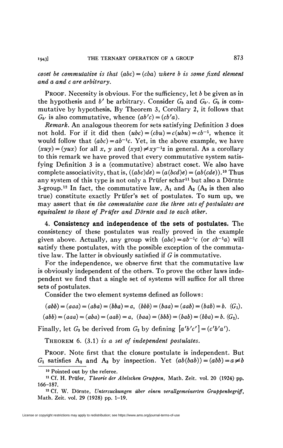*coset be commutative is that*  $(abc) = (cba)$  *where b is some fixed element and a and c are arbitrary.* 

PROOF. Necessity is obvious. For the sufficiency, let *b* be given as in the hypothesis and  $b'$  be arbitrary. Consider  $G_b$  and  $G_{b'}$ .  $G_b$  is commutative by hypothesis. By Theorem 3, Corollary 2, it follows that  $G_{b'}$  is also commutative, whence  $(ab'c) = (cb'a)$ .

*Remark.* An analogous theorem for sets satisfying Definition 3 does not hold. For if it did then  $(ubc) = (cbu) = c(ubu) = cb^{-1}$ , whence it would follow that  $(abc) = ab^{-1}c$ . Yet, in the above example, we have  $(xuy) = (yux)$  for all x, y and  $(xyz) \neq xy^{-1}z$  in general. As a corollary to this remark we have proved that every commutative system satisfying Definition 3 is a (commutative) abstract coset. We also have complete associativity, that is,  $((abc)de) = (a(bcd)e) = (ab(cde))$ .<sup>10</sup> Thus any system of this type is not only a Prüfer schar<sup>11</sup> but also a Dörnte 3-group.<sup>12</sup> In fact, the commutative law,  $A_1$  and  $A_2$  ( $A_3$  is then also true) constitute exactly Prüfer's set of postulates. To sum up, we may assert that *in the commutative case the three sets of postulates are equivalent to those of Prüfer and Dörnte and to each other.* 

4. **Consistency and independence of the sets of postulates.** The consistency of these postulates was really proved in the example given above. Actually, any group with  $(abc) = ab^{-1}c$  (or  $cb^{-1}a$ ) will satisfy these postulates, with the possible exception of the commutative law. The latter is obviously satisfied if *G* is commutative.

For the independence, we observe first that the commutative law is obviously independent of the others. To prove the other laws independent we find that a single set of systems will suffice for all three sets of postulates.

Consider the two element systems defined as follows:

$$
(abb) = (aaa) = (aba) = (bba) = a, (bbb) = (baa) = (aab) = (bab) = b. (G1).
$$

$$
(abb) = (aaa) = (aba) = (aab) = a, (baa) = (bbb) = (bab) = (bba) = b. (G2).
$$

Finally, let  $G_3$  be derived from  $G_2$  by defining  $[a'b'c'] = (c'b'a')$ .

THEOREM 6. (3.1) *is a set of independent postulates.* 

PROOF. Note first that the closure postulate is independent. But  $G_1$  satisfies  $A_2$  and  $A_3$  by inspection. Yet  $(ab(bab)) = (abb) = a \neq b$ 

<sup>10</sup> Pointed out by the referee.

<sup>11</sup> Cf. H. Prüfer, *Theorie der Abelschen Gruppen,* Math. Zeit. vol. 20 (1924) pp. 166-187.

<sup>12</sup> Cf. W. Dörnte, *Untersuchungen über einen verallgemeinerten Gruppenbegriff,*  Math. Zeit. vol. 29 (1928) pp. 1-19.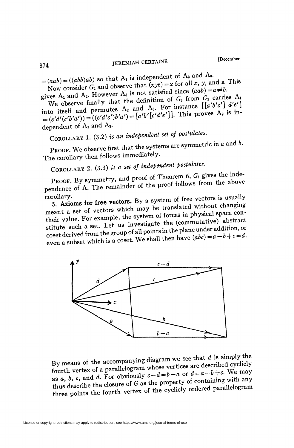874 **JEREMIAH CERTAINE [December** 

 $=(aab)=((abb)ab)$  so that  $A_1$  is independent of  $A_2$  and  $A_3$ .

Now consider  $G_2$  and observe that  $(xyz) = x$  for all x, y, and z. This gives  $A_1$  and  $A_2$ . However  $A_3$  is not satisfied since  $(aab) = a \neq b$ .

We observe finally that the definition of  $G_3$  from  $G_2$  carries  $A_1$  into itself and permutes  $A_2$  and  $A_3$ . For instance  $[[a'b'c']d'e']$  $=(e'd'(c'b'a'))=((e'd'c')b'a')=[a'b'[c'd'e']].$  This proves  $A_2$  is independent of  $A_1$  and  $A_3$ .

COROLLARY 1. (3.2) *is an independent set of postulates.* 

PROOF. We observe first that the systems are symmetric in *a* and *b*. The corollary then follows immediately.

COROLLARY 2. (3.3) *is a set of independent postulates*.<br>**PROOF.** By symmetry, and proof of Theorem 6,  $G_1$  gives the inde-PROOF. By symmetry, and proof of Theorem 0, 01 second-<br>pendence of A. The remainder of the proof follows from the above

corollary.<br>5. Axioms for free vectors. By a system of free vectors is usually meant a set of vectors which may be translated without changing their value. For example, the system of forces in physical space contheir value. For example, the system of forces in physical space.<br>stitute such a set. Let us investigate the (commutative) abstract<br>stitute such a set. Let us investigate the commutative) abstract stitute such a set. Let us investigate the (commutative)  $\infty$ <br>coset derived from the group of all points in the plane under addition, or coset derived from the group of all points in the plane dider density  $\alpha$ ,<br>even a subset which is a coset. We shall then have  $(abc) = a - b + c = d$ .



By means of the accompanying diagram we see that  $d$  is simply the<br> $\frac{d}{dx}$  is simply the fourth vertex of a parallelogram whose vertices are described cyclicly<br>as  $a$ ,  $b$ ,  $c$ , and  $d$ . For obviously  $c-d=b-a$  or  $d=a-b+c$ . We may<br>thus describe the closure of  $G$  as the property of containing with any thus describe the closure of  $G$  as the property of conditions of the condition of the cyclicity ordered parallelogram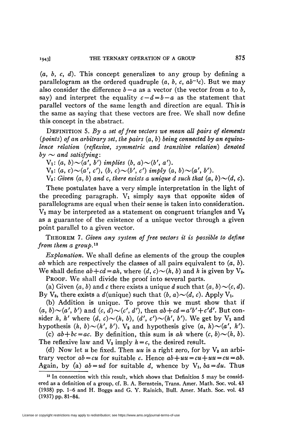*(a, b<sup>f</sup> c, d).* This concept generalizes to any group by defining a parallelogram as the ordered quadruple  $(a, b, c, ab^{-1}c)$ . But we may also consider the difference  $b-a$  as a vector (the vector from  $a$  to  $b$ , say) and interpret the equality  $c-d=b-a$  as the statement that parallel vectors of the same length and direction are equal. This is the same as saying that these vectors are free. We shall now define this concept in the abstract.

DEFINITION 5. *By a set of free vectors we mean all pairs of elements {points) of an arbitrary set, the pairs* (a, *b) being connected by an equivalence relation (reflexive, symmetric and transitive relation) denoted*   $b\mathbf{v} \sim$  and satisfying:

 $V_1: (a, b) \sim (a', b')$  implies  $(b, a) \sim (b', a')$ .

 $V_2$ :  $(a, c) \sim (a', c'), (b, c) \sim (b', c')$  *imply*  $(a, b) \sim (a', b').$ 

 $V_3$ : Given  $(a, b)$  and c, there exists a unique d such that  $(a, b) \sim (d, c)$ .

These postulates have a very simple interpretation in the light of the preceding paragraph.  $V_1$  simply says that opposite sides of parallelograms are equal when their sense is taken into consideration.  $V_2$  may be interpreted as a statement on congruent triangles and  $V_3$ as a guarantee of the existence of a unique vector through a given point parallel to a given vector.

THEOREM 7. *Given any system of free vectors it is possible to define*  from them a group.<sup>13</sup>

*Explanation.* We shall define as elements of the group the couples *ab* which are respectively the classes of all pairs equivalent to (a, *b).*  We shall define  $ab + cd = ah$ *,* where  $(d, c) \sim (h, b)$  and h is given by V<sub>3</sub>. PROOF. We shall divide the proof into several parts.

(a) Given  $(a, b)$  and c there exists a unique d such that  $(a, b) \sim (c, d)$ . By V<sub>3</sub>, there exists a *d*(unique) such that  $(b, a) \sim (d, c)$ . Apply V<sub>1</sub>.

(b) Addition is unique. To prove this we must show that if  $(a, b)$ ~ $(a', b')$  and  $(c, d)$ ~ $(c', d')$ , then  $ab + cd = a'b' + c'd'$ . But consider *h*, *h'* where  $(d, c) \sim (h, b)$ ,  $(d', c') \sim (h', b')$ . We get by  $V_1$  and hypothesis  $(h, b) \sim (h', b')$ .  $V_2$  and hypothesis give  $(a, h) \sim (a', h')$ .

(c)  $ab + bc = ac$ . By definition, this sum is ah where  $(c, b) \sim (h, b)$ . The reflexive law and  $V_3$  imply  $h = c$ , the desired result.

(d) Now let  $u$  be fixed. Then  $uu$  is a right zero, for by  $V_3$  an arbitrary vector  $ab = cu$  for suitable *c*. Hence  $ab + uu = cu + uu = cu = ab$ . Again, by (a)  $ab = ud$  for suitable d, whence by  $V_1$ ,  $ba = du$ . Thus

<sup>13</sup> In connection with this result, which shows that Definition 5 may be considered as a definition of a group, cf. B. A. Bernstein, Trans. Amer. Math. Soc. vol. 43 (1938) pp. 1-6 and H. Boggs and G. Y. Rainich, Bull. Amer. Math. Soc. vol. 43 (1937) pp. 81-84.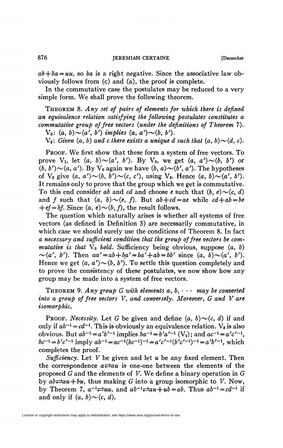$ab+ba = uu$ , so ba is a right negative. Since the associative law obviously follows from (c) and (a), the proof is complete.

In the commutative case the postulates may be reduced to a very simple form. We shall prove the following theorem.

THEOREM 8. Any set of pairs of elements for which there is defined *an equivalence relation satisfying the following postulates constitutes a commutative group of free vectors {under the definitions of Theorem* 7).  $V_0$ :  $(a, b) \sim (a', b')$  *implies*  $(a, a') \sim (b, b')$ .

 $V_3$ : Given  $(a, b)$  and c there exists a unique d such that  $(a, b) \sim (d, c)$ .

PROOF. We first show that these form a system of free vectors. To prove V<sub>1</sub>, let  $(a, b) \sim (a', b')$ . By V<sub>0</sub>, we get  $(a, a') \sim (b, b')$  or  $(b, b') \sim (a, a')$ . By  $V_0$  again we have  $(b, a) \sim (b', a')$ . The hypotheses of  $V_2$  give  $(a, a') \sim (b, b') \sim (c, c')$ , using  $V_0$ . Hence  $(a, b) \sim (a', b')$ . It remains only to prove that the group which we get is commutative. To this end consider ab and cd and choose e such that  $(b, e) \sim (c, d)$ and f such that  $(a, b) \sim (e, f)$ . But  $ab + cd = ae$  while  $cd + ab = be$  $+ef=bf$ . Since  $(a, e) \sim (b, f)$ , the result follows.

The question which naturally arises is whether all systems of free vectors (as defined in Definition 5) are necessarily commutative, in which case we should surely use the conditions of Theorem 8. In fact *a necessary and sufficient condition that the group of free vectors be commutative is that*  $V_0$  *hold.* Sufficiency being obvious, suppose  $(a, b)$  $\sim(a', b')$ . Then  $aa' = ab + ba' = ba' + ab = bb'$  since  $(a, b) \sim (a', b')$ . Hence we get  $(a, a') \sim (b, b')$ . To settle this question completely and to prove the consistency of these postulates, we now show how any group may be made into a system of free vectors.

THEOREM 9. Any group G with elements  $a, b, \cdots$  may be converted *into a group of free vectors V, and conversely. Moreover, G and V are isomorphic.* 

PROOF. *Necessity*. Let G be given and define  $(a, b) \sim (c, d)$  if and only if  $ab^{-1} = cd^{-1}$ . This is obviously an equivalence relation.  $V_3$  is also obvious. But  $ab^{-1} = a'b'^{-1}$  implies  $ba^{-1} = b'a'^{-1}$  (V<sub>1</sub>); and  $ac^{-1} = a'c'^{-1}$ ,  $bc^{-1} = b'c'^{-1}$  imply  $ab^{-1} = ac^{-1}(bc^{-1})^{-1} = a'c'^{-1}(b'c'^{-1})^{-1} = a'b'^{-1}$ , which completes the proof.

*Sufficiency.* Let *V* be given and let *u* be any fixed element. Then the correspondence  $a \rightleftarrows au$  is one-one between the elements of the proposed *G* and the elements of *V.* We define a binary operation in *G*  by  $ab \rightleftarrows au+bu$ , thus making G into a group isomorphic to V. Now, by Theorem 7,  $a^{-1} \rightleftarrows ua$ , and  $ab^{-1} \rightleftarrows au + ub = ab$ . Thus  $ab^{-1} = cd^{-1}$  if and only if  $(a, b) \sim (c, d)$ .